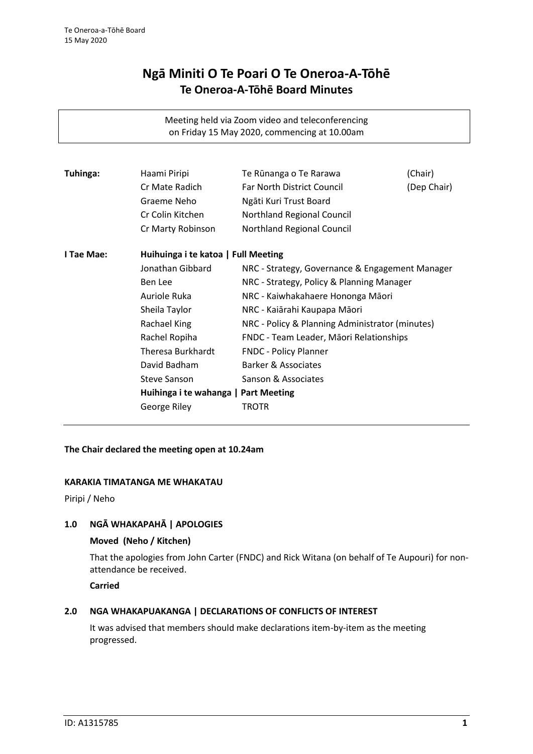# **Ngā Miniti O Te Poari O Te Oneroa-A-Tōhē Te Oneroa-A-Tōhē Board Minutes**

Meeting held via Zoom video and teleconferencing on Friday 15 May 2020, commencing at 10.00am

| Tuhinga:   | Haami Piripi                         | Te Rūnanga o Te Rarawa                          | (Chair)     |
|------------|--------------------------------------|-------------------------------------------------|-------------|
|            | Cr Mate Radich                       | Far North District Council                      | (Dep Chair) |
|            | Graeme Neho                          | Ngāti Kuri Trust Board                          |             |
|            | Cr Colin Kitchen                     | Northland Regional Council                      |             |
|            | Cr Marty Robinson                    | Northland Regional Council                      |             |
| I Tae Mae: | Huihuinga i te katoa   Full Meeting  |                                                 |             |
|            | Jonathan Gibbard                     | NRC - Strategy, Governance & Engagement Manager |             |
|            | Ben Lee                              | NRC - Strategy, Policy & Planning Manager       |             |
|            | Auriole Ruka                         | NRC - Kaiwhakahaere Hononga Māori               |             |
|            | Sheila Taylor                        | NRC - Kaiārahi Kaupapa Māori                    |             |
|            | Rachael King                         | NRC - Policy & Planning Administrator (minutes) |             |
|            | Rachel Ropiha                        | FNDC - Team Leader, Māori Relationships         |             |
|            | <b>Theresa Burkhardt</b>             | <b>FNDC - Policy Planner</b>                    |             |
|            | David Badham                         | <b>Barker &amp; Associates</b>                  |             |
|            | <b>Steve Sanson</b>                  | Sanson & Associates                             |             |
|            | Huihinga i te wahanga   Part Meeting |                                                 |             |
|            | George Riley                         | TROTR                                           |             |

#### **The Chair declared the meeting open at 10.24am**

#### **KARAKIA TIMATANGA ME WHAKATAU**

Piripi / Neho

# **1.0 NGĀ WHAKAPAHĀ | APOLOGIES**

#### **Moved (Neho / Kitchen)**

That the apologies from John Carter (FNDC) and Rick Witana (on behalf of Te Aupouri) for nonattendance be received.

**Carried**

# **2.0 NGA WHAKAPUAKANGA | DECLARATIONS OF CONFLICTS OF INTEREST**

It was advised that members should make declarations item-by-item as the meeting progressed.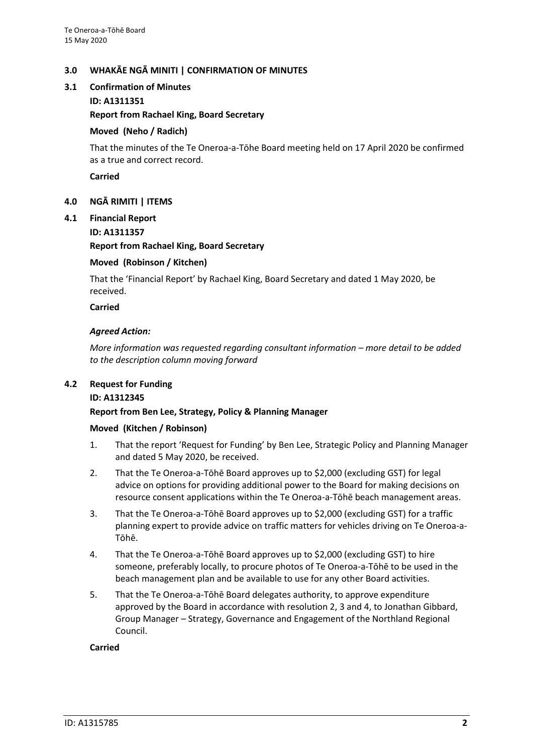# **3.0 WHAKĀE NGĀ MINITI | CONFIRMATION OF MINUTES**

# **3.1 Confirmation of Minutes**

**ID: A1311351**

#### **Report from Rachael King, Board Secretary**

#### **Moved (Neho / Radich)**

That the minutes of the Te Oneroa-a-Tōhe Board meeting held on 17 April 2020 be confirmed as a true and correct record.

**Carried**

# **4.0 NGĀ RIMITI | ITEMS**

**4.1 Financial Report**

# **ID: A1311357**

# **Report from Rachael King, Board Secretary**

# **Moved (Robinson / Kitchen)**

That the 'Financial Report' by Rachael King, Board Secretary and dated 1 May 2020, be received.

#### **Carried**

# *Agreed Action:*

*More information was requested regarding consultant information – more detail to be added to the description column moving forward*

# **4.2 Request for Funding**

#### **ID: A1312345**

# **Report from Ben Lee, Strategy, Policy & Planning Manager**

#### **Moved (Kitchen / Robinson)**

- 1. That the report 'Request for Funding' by Ben Lee, Strategic Policy and Planning Manager and dated 5 May 2020, be received.
- 2. That the Te Oneroa-a-Tōhē Board approves up to \$2,000 (excluding GST) for legal advice on options for providing additional power to the Board for making decisions on resource consent applications within the Te Oneroa-a-Tōhē beach management areas.
- 3. That the Te Oneroa-a-Tōhē Board approves up to \$2,000 (excluding GST) for a traffic planning expert to provide advice on traffic matters for vehicles driving on Te Oneroa-a-Tōhē.
- 4. That the Te Oneroa-a-Tōhē Board approves up to \$2,000 (excluding GST) to hire someone, preferably locally, to procure photos of Te Oneroa-a-Tōhē to be used in the beach management plan and be available to use for any other Board activities.
- 5. That the Te Oneroa-a-Tōhē Board delegates authority, to approve expenditure approved by the Board in accordance with resolution 2, 3 and 4, to Jonathan Gibbard, Group Manager – Strategy, Governance and Engagement of the Northland Regional Council.

#### **Carried**